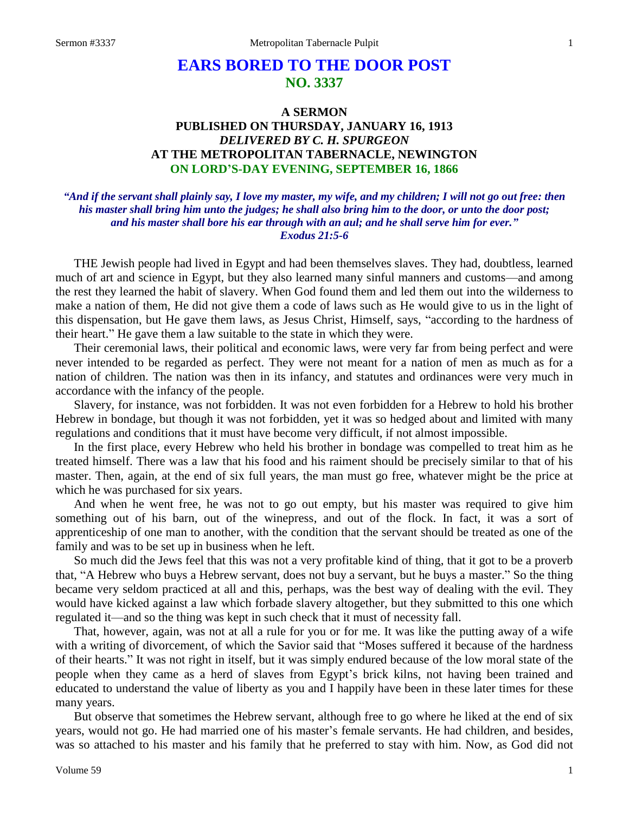# **EARS BORED TO THE DOOR POST NO. 3337**

## **A SERMON PUBLISHED ON THURSDAY, JANUARY 16, 1913** *DELIVERED BY C. H. SPURGEON* **AT THE METROPOLITAN TABERNACLE, NEWINGTON ON LORD'S-DAY EVENING, SEPTEMBER 16, 1866**

### *"And if the servant shall plainly say, I love my master, my wife, and my children; I will not go out free: then his master shall bring him unto the judges; he shall also bring him to the door, or unto the door post; and his master shall bore his ear through with an aul; and he shall serve him for ever." Exodus 21:5-6*

THE Jewish people had lived in Egypt and had been themselves slaves. They had, doubtless, learned much of art and science in Egypt, but they also learned many sinful manners and customs—and among the rest they learned the habit of slavery. When God found them and led them out into the wilderness to make a nation of them, He did not give them a code of laws such as He would give to us in the light of this dispensation, but He gave them laws, as Jesus Christ, Himself, says, "according to the hardness of their heart." He gave them a law suitable to the state in which they were.

Their ceremonial laws, their political and economic laws, were very far from being perfect and were never intended to be regarded as perfect. They were not meant for a nation of men as much as for a nation of children. The nation was then in its infancy, and statutes and ordinances were very much in accordance with the infancy of the people.

Slavery, for instance, was not forbidden. It was not even forbidden for a Hebrew to hold his brother Hebrew in bondage, but though it was not forbidden, yet it was so hedged about and limited with many regulations and conditions that it must have become very difficult, if not almost impossible.

In the first place, every Hebrew who held his brother in bondage was compelled to treat him as he treated himself. There was a law that his food and his raiment should be precisely similar to that of his master. Then, again, at the end of six full years, the man must go free, whatever might be the price at which he was purchased for six years.

And when he went free, he was not to go out empty, but his master was required to give him something out of his barn, out of the winepress, and out of the flock. In fact, it was a sort of apprenticeship of one man to another, with the condition that the servant should be treated as one of the family and was to be set up in business when he left.

So much did the Jews feel that this was not a very profitable kind of thing, that it got to be a proverb that, "A Hebrew who buys a Hebrew servant, does not buy a servant, but he buys a master." So the thing became very seldom practiced at all and this, perhaps, was the best way of dealing with the evil. They would have kicked against a law which forbade slavery altogether, but they submitted to this one which regulated it—and so the thing was kept in such check that it must of necessity fall.

That, however, again, was not at all a rule for you or for me. It was like the putting away of a wife with a writing of divorcement, of which the Savior said that "Moses suffered it because of the hardness of their hearts." It was not right in itself, but it was simply endured because of the low moral state of the people when they came as a herd of slaves from Egypt's brick kilns, not having been trained and educated to understand the value of liberty as you and I happily have been in these later times for these many years.

But observe that sometimes the Hebrew servant, although free to go where he liked at the end of six years, would not go. He had married one of his master's female servants. He had children, and besides, was so attached to his master and his family that he preferred to stay with him. Now, as God did not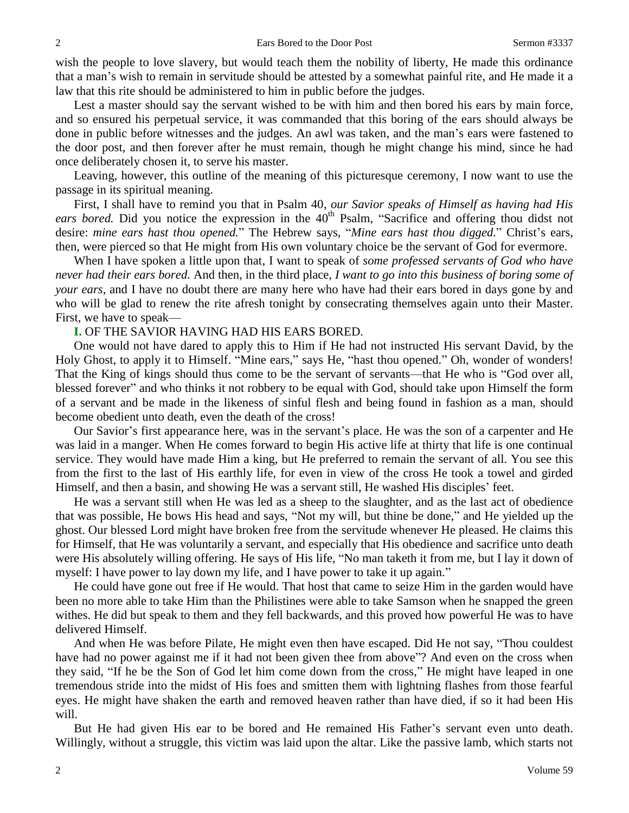wish the people to love slavery, but would teach them the nobility of liberty, He made this ordinance that a man's wish to remain in servitude should be attested by a somewhat painful rite, and He made it a law that this rite should be administered to him in public before the judges.

Lest a master should say the servant wished to be with him and then bored his ears by main force, and so ensured his perpetual service, it was commanded that this boring of the ears should always be done in public before witnesses and the judges. An awl was taken, and the man's ears were fastened to the door post, and then forever after he must remain, though he might change his mind, since he had once deliberately chosen it, to serve his master.

Leaving, however, this outline of the meaning of this picturesque ceremony, I now want to use the passage in its spiritual meaning.

First, I shall have to remind you that in Psalm 40, *our Savior speaks of Himself as having had His*  ears bored. Did you notice the expression in the 40<sup>th</sup> Psalm, "Sacrifice and offering thou didst not desire: *mine ears hast thou opened.*" The Hebrew says, "*Mine ears hast thou digged.*" Christ's ears, then, were pierced so that He might from His own voluntary choice be the servant of God for evermore.

When I have spoken a little upon that, I want to speak of *some professed servants of God who have never had their ears bored.* And then, in the third place, *I want to go into this business of boring some of your ears*, and I have no doubt there are many here who have had their ears bored in days gone by and who will be glad to renew the rite afresh tonight by consecrating themselves again unto their Master. First, we have to speak—

#### **I.** OF THE SAVIOR HAVING HAD HIS EARS BORED.

One would not have dared to apply this to Him if He had not instructed His servant David, by the Holy Ghost, to apply it to Himself. "Mine ears," says He, "hast thou opened." Oh, wonder of wonders! That the King of kings should thus come to be the servant of servants—that He who is "God over all, blessed forever" and who thinks it not robbery to be equal with God, should take upon Himself the form of a servant and be made in the likeness of sinful flesh and being found in fashion as a man, should become obedient unto death, even the death of the cross!

Our Savior's first appearance here, was in the servant's place. He was the son of a carpenter and He was laid in a manger. When He comes forward to begin His active life at thirty that life is one continual service. They would have made Him a king, but He preferred to remain the servant of all. You see this from the first to the last of His earthly life, for even in view of the cross He took a towel and girded Himself, and then a basin, and showing He was a servant still, He washed His disciples' feet.

He was a servant still when He was led as a sheep to the slaughter, and as the last act of obedience that was possible, He bows His head and says, "Not my will, but thine be done," and He yielded up the ghost. Our blessed Lord might have broken free from the servitude whenever He pleased. He claims this for Himself, that He was voluntarily a servant, and especially that His obedience and sacrifice unto death were His absolutely willing offering. He says of His life, "No man taketh it from me, but I lay it down of myself: I have power to lay down my life, and I have power to take it up again."

He could have gone out free if He would. That host that came to seize Him in the garden would have been no more able to take Him than the Philistines were able to take Samson when he snapped the green withes. He did but speak to them and they fell backwards, and this proved how powerful He was to have delivered Himself.

And when He was before Pilate, He might even then have escaped. Did He not say, "Thou couldest have had no power against me if it had not been given thee from above"? And even on the cross when they said, "If he be the Son of God let him come down from the cross," He might have leaped in one tremendous stride into the midst of His foes and smitten them with lightning flashes from those fearful eyes. He might have shaken the earth and removed heaven rather than have died, if so it had been His will.

But He had given His ear to be bored and He remained His Father's servant even unto death. Willingly, without a struggle, this victim was laid upon the altar. Like the passive lamb, which starts not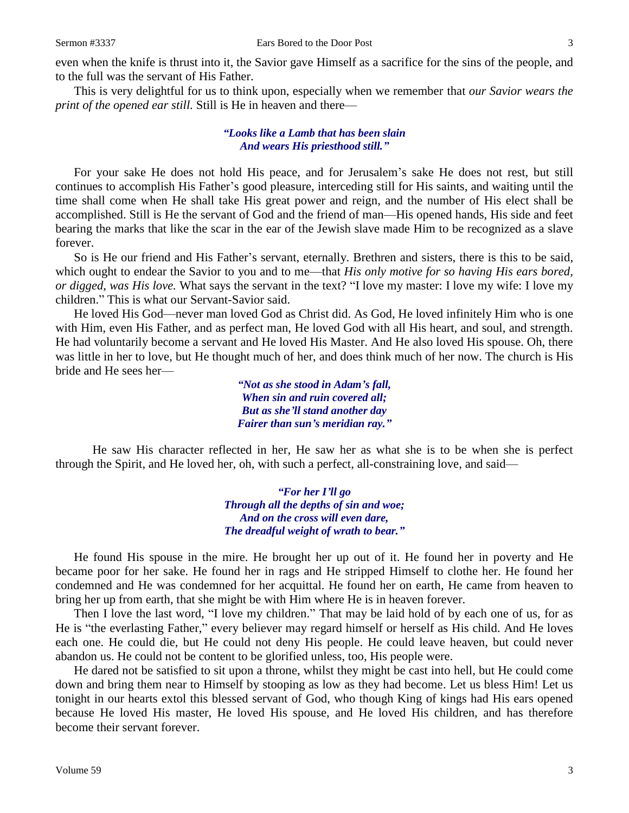even when the knife is thrust into it, the Savior gave Himself as a sacrifice for the sins of the people, and to the full was the servant of His Father.

This is very delightful for us to think upon, especially when we remember that *our Savior wears the print of the opened ear still.* Still is He in heaven and there—

#### *"Looks like a Lamb that has been slain And wears His priesthood still."*

For your sake He does not hold His peace, and for Jerusalem's sake He does not rest, but still continues to accomplish His Father's good pleasure, interceding still for His saints, and waiting until the time shall come when He shall take His great power and reign, and the number of His elect shall be accomplished. Still is He the servant of God and the friend of man—His opened hands, His side and feet bearing the marks that like the scar in the ear of the Jewish slave made Him to be recognized as a slave forever.

So is He our friend and His Father's servant, eternally. Brethren and sisters, there is this to be said, which ought to endear the Savior to you and to me—that *His only motive for so having His ears bored, or digged, was His love.* What says the servant in the text? "I love my master: I love my wife: I love my children." This is what our Servant-Savior said.

He loved His God—never man loved God as Christ did. As God, He loved infinitely Him who is one with Him, even His Father, and as perfect man, He loved God with all His heart, and soul, and strength. He had voluntarily become a servant and He loved His Master. And He also loved His spouse. Oh, there was little in her to love, but He thought much of her, and does think much of her now. The church is His bride and He sees her—

> *"Not as she stood in Adam's fall, When sin and ruin covered all; But as she'll stand another day Fairer than sun's meridian ray."*

He saw His character reflected in her, He saw her as what she is to be when she is perfect through the Spirit, and He loved her, oh, with such a perfect, all-constraining love, and said—

> *"For her I'll go Through all the depths of sin and woe; And on the cross will even dare, The dreadful weight of wrath to bear."*

He found His spouse in the mire. He brought her up out of it. He found her in poverty and He became poor for her sake. He found her in rags and He stripped Himself to clothe her. He found her condemned and He was condemned for her acquittal. He found her on earth, He came from heaven to bring her up from earth, that she might be with Him where He is in heaven forever.

Then I love the last word, "I love my children." That may be laid hold of by each one of us, for as He is "the everlasting Father," every believer may regard himself or herself as His child. And He loves each one. He could die, but He could not deny His people. He could leave heaven, but could never abandon us. He could not be content to be glorified unless, too, His people were.

He dared not be satisfied to sit upon a throne, whilst they might be cast into hell, but He could come down and bring them near to Himself by stooping as low as they had become. Let us bless Him! Let us tonight in our hearts extol this blessed servant of God, who though King of kings had His ears opened because He loved His master, He loved His spouse, and He loved His children, and has therefore become their servant forever.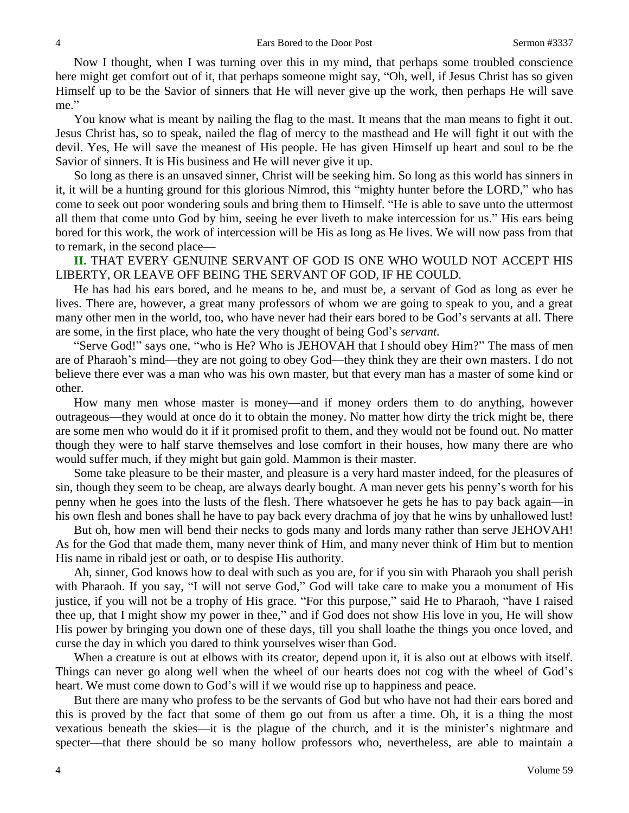Now I thought, when I was turning over this in my mind, that perhaps some troubled conscience here might get comfort out of it, that perhaps someone might say, "Oh, well, if Jesus Christ has so given Himself up to be the Savior of sinners that He will never give up the work, then perhaps He will save me."

You know what is meant by nailing the flag to the mast. It means that the man means to fight it out. Jesus Christ has, so to speak, nailed the flag of mercy to the masthead and He will fight it out with the devil. Yes, He will save the meanest of His people. He has given Himself up heart and soul to be the Savior of sinners. It is His business and He will never give it up.

So long as there is an unsaved sinner, Christ will be seeking him. So long as this world has sinners in it, it will be a hunting ground for this glorious Nimrod, this "mighty hunter before the LORD," who has come to seek out poor wondering souls and bring them to Himself. "He is able to save unto the uttermost all them that come unto God by him, seeing he ever liveth to make intercession for us." His ears being bored for this work, the work of intercession will be His as long as He lives. We will now pass from that to remark, in the second place—

**II.** THAT EVERY GENUINE SERVANT OF GOD IS ONE WHO WOULD NOT ACCEPT HIS LIBERTY, OR LEAVE OFF BEING THE SERVANT OF GOD, IF HE COULD.

He has had his ears bored, and he means to be, and must be, a servant of God as long as ever he lives. There are, however, a great many professors of whom we are going to speak to you, and a great many other men in the world, too, who have never had their ears bored to be God's servants at all. There are some, in the first place, who hate the very thought of being God's *servant.* 

"Serve God!" says one, "who is He? Who is JEHOVAH that I should obey Him?" The mass of men are of Pharaoh's mind—they are not going to obey God—they think they are their own masters. I do not believe there ever was a man who was his own master, but that every man has a master of some kind or other.

How many men whose master is money—and if money orders them to do anything, however outrageous—they would at once do it to obtain the money. No matter how dirty the trick might be, there are some men who would do it if it promised profit to them, and they would not be found out. No matter though they were to half starve themselves and lose comfort in their houses, how many there are who would suffer much, if they might but gain gold. Mammon is their master.

Some take pleasure to be their master, and pleasure is a very hard master indeed, for the pleasures of sin, though they seem to be cheap, are always dearly bought. A man never gets his penny's worth for his penny when he goes into the lusts of the flesh. There whatsoever he gets he has to pay back again—in his own flesh and bones shall he have to pay back every drachma of joy that he wins by unhallowed lust!

But oh, how men will bend their necks to gods many and lords many rather than serve JEHOVAH! As for the God that made them, many never think of Him, and many never think of Him but to mention His name in ribald jest or oath, or to despise His authority.

Ah, sinner, God knows how to deal with such as you are, for if you sin with Pharaoh you shall perish with Pharaoh. If you say, "I will not serve God," God will take care to make you a monument of His justice, if you will not be a trophy of His grace. "For this purpose," said He to Pharaoh, "have I raised thee up, that I might show my power in thee," and if God does not show His love in you, He will show His power by bringing you down one of these days, till you shall loathe the things you once loved, and curse the day in which you dared to think yourselves wiser than God.

When a creature is out at elbows with its creator, depend upon it, it is also out at elbows with itself. Things can never go along well when the wheel of our hearts does not cog with the wheel of God's heart. We must come down to God's will if we would rise up to happiness and peace.

But there are many who profess to be the servants of God but who have not had their ears bored and this is proved by the fact that some of them go out from us after a time. Oh, it is a thing the most vexatious beneath the skies—it is the plague of the church, and it is the minister's nightmare and specter—that there should be so many hollow professors who, nevertheless, are able to maintain a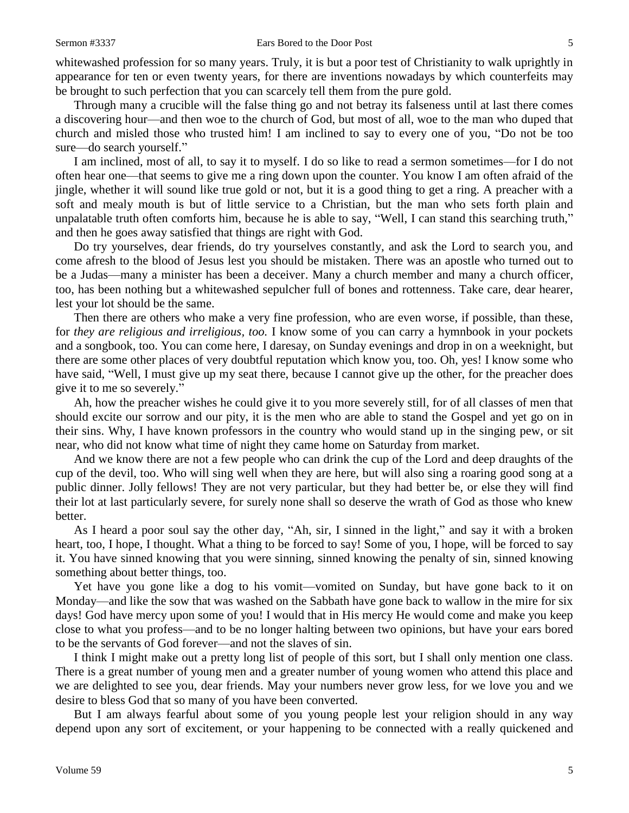whitewashed profession for so many years. Truly, it is but a poor test of Christianity to walk uprightly in appearance for ten or even twenty years, for there are inventions nowadays by which counterfeits may be brought to such perfection that you can scarcely tell them from the pure gold.

Through many a crucible will the false thing go and not betray its falseness until at last there comes a discovering hour—and then woe to the church of God, but most of all, woe to the man who duped that church and misled those who trusted him! I am inclined to say to every one of you, "Do not be too sure—do search yourself."

I am inclined, most of all, to say it to myself. I do so like to read a sermon sometimes—for I do not often hear one—that seems to give me a ring down upon the counter. You know I am often afraid of the jingle, whether it will sound like true gold or not, but it is a good thing to get a ring. A preacher with a soft and mealy mouth is but of little service to a Christian, but the man who sets forth plain and unpalatable truth often comforts him, because he is able to say, "Well, I can stand this searching truth," and then he goes away satisfied that things are right with God.

Do try yourselves, dear friends, do try yourselves constantly, and ask the Lord to search you, and come afresh to the blood of Jesus lest you should be mistaken. There was an apostle who turned out to be a Judas—many a minister has been a deceiver. Many a church member and many a church officer, too, has been nothing but a whitewashed sepulcher full of bones and rottenness. Take care, dear hearer, lest your lot should be the same.

Then there are others who make a very fine profession, who are even worse, if possible, than these, for *they are religious and irreligious, too.* I know some of you can carry a hymnbook in your pockets and a songbook, too. You can come here, I daresay, on Sunday evenings and drop in on a weeknight, but there are some other places of very doubtful reputation which know you, too. Oh, yes! I know some who have said, "Well, I must give up my seat there, because I cannot give up the other, for the preacher does give it to me so severely."

Ah, how the preacher wishes he could give it to you more severely still, for of all classes of men that should excite our sorrow and our pity, it is the men who are able to stand the Gospel and yet go on in their sins. Why, I have known professors in the country who would stand up in the singing pew, or sit near, who did not know what time of night they came home on Saturday from market.

And we know there are not a few people who can drink the cup of the Lord and deep draughts of the cup of the devil, too. Who will sing well when they are here, but will also sing a roaring good song at a public dinner. Jolly fellows! They are not very particular, but they had better be, or else they will find their lot at last particularly severe, for surely none shall so deserve the wrath of God as those who knew better.

As I heard a poor soul say the other day, "Ah, sir, I sinned in the light," and say it with a broken heart, too, I hope, I thought. What a thing to be forced to say! Some of you, I hope, will be forced to say it. You have sinned knowing that you were sinning, sinned knowing the penalty of sin, sinned knowing something about better things, too.

Yet have you gone like a dog to his vomit—vomited on Sunday, but have gone back to it on Monday—and like the sow that was washed on the Sabbath have gone back to wallow in the mire for six days! God have mercy upon some of you! I would that in His mercy He would come and make you keep close to what you profess—and to be no longer halting between two opinions, but have your ears bored to be the servants of God forever—and not the slaves of sin.

I think I might make out a pretty long list of people of this sort, but I shall only mention one class. There is a great number of young men and a greater number of young women who attend this place and we are delighted to see you, dear friends. May your numbers never grow less, for we love you and we desire to bless God that so many of you have been converted.

But I am always fearful about some of you young people lest your religion should in any way depend upon any sort of excitement, or your happening to be connected with a really quickened and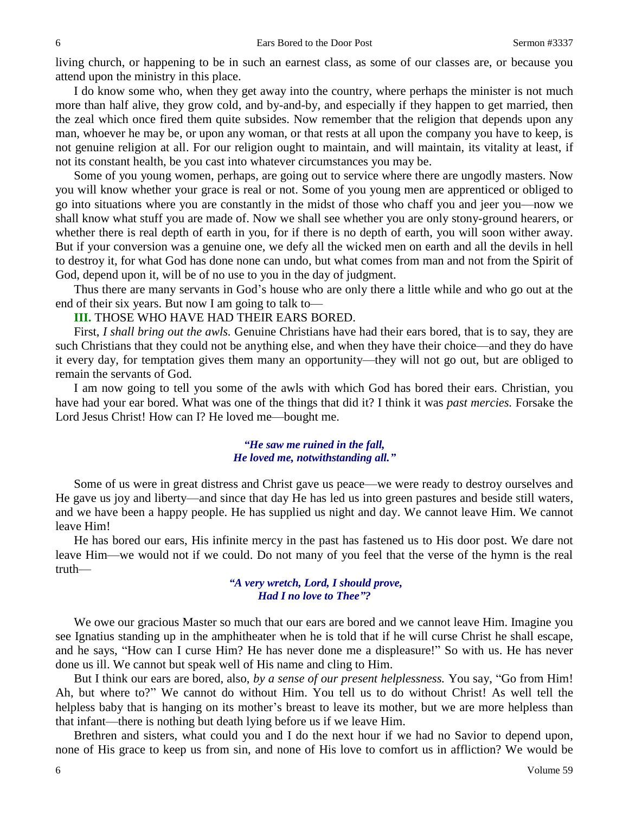living church, or happening to be in such an earnest class, as some of our classes are, or because you attend upon the ministry in this place.

I do know some who, when they get away into the country, where perhaps the minister is not much more than half alive, they grow cold, and by-and-by, and especially if they happen to get married, then the zeal which once fired them quite subsides. Now remember that the religion that depends upon any man, whoever he may be, or upon any woman, or that rests at all upon the company you have to keep, is not genuine religion at all. For our religion ought to maintain, and will maintain, its vitality at least, if not its constant health, be you cast into whatever circumstances you may be.

Some of you young women, perhaps, are going out to service where there are ungodly masters. Now you will know whether your grace is real or not. Some of you young men are apprenticed or obliged to go into situations where you are constantly in the midst of those who chaff you and jeer you—now we shall know what stuff you are made of. Now we shall see whether you are only stony-ground hearers, or whether there is real depth of earth in you, for if there is no depth of earth, you will soon wither away. But if your conversion was a genuine one, we defy all the wicked men on earth and all the devils in hell to destroy it, for what God has done none can undo, but what comes from man and not from the Spirit of God, depend upon it, will be of no use to you in the day of judgment.

Thus there are many servants in God's house who are only there a little while and who go out at the end of their six years. But now I am going to talk to—

**III.** THOSE WHO HAVE HAD THEIR EARS BORED.

First, *I shall bring out the awls.* Genuine Christians have had their ears bored, that is to say, they are such Christians that they could not be anything else, and when they have their choice—and they do have it every day, for temptation gives them many an opportunity—they will not go out, but are obliged to remain the servants of God.

I am now going to tell you some of the awls with which God has bored their ears. Christian, you have had your ear bored. What was one of the things that did it? I think it was *past mercies.* Forsake the Lord Jesus Christ! How can I? He loved me—bought me.

#### *"He saw me ruined in the fall, He loved me, notwithstanding all."*

Some of us were in great distress and Christ gave us peace—we were ready to destroy ourselves and He gave us joy and liberty—and since that day He has led us into green pastures and beside still waters, and we have been a happy people. He has supplied us night and day. We cannot leave Him. We cannot leave Him!

He has bored our ears, His infinite mercy in the past has fastened us to His door post. We dare not leave Him—we would not if we could. Do not many of you feel that the verse of the hymn is the real truth—

#### *"A very wretch, Lord, I should prove, Had I no love to Thee"?*

We owe our gracious Master so much that our ears are bored and we cannot leave Him. Imagine you see Ignatius standing up in the amphitheater when he is told that if he will curse Christ he shall escape, and he says, "How can I curse Him? He has never done me a displeasure!" So with us. He has never done us ill. We cannot but speak well of His name and cling to Him.

But I think our ears are bored, also, *by a sense of our present helplessness.* You say, "Go from Him! Ah, but where to?" We cannot do without Him. You tell us to do without Christ! As well tell the helpless baby that is hanging on its mother's breast to leave its mother, but we are more helpless than that infant—there is nothing but death lying before us if we leave Him.

Brethren and sisters, what could you and I do the next hour if we had no Savior to depend upon, none of His grace to keep us from sin, and none of His love to comfort us in affliction? We would be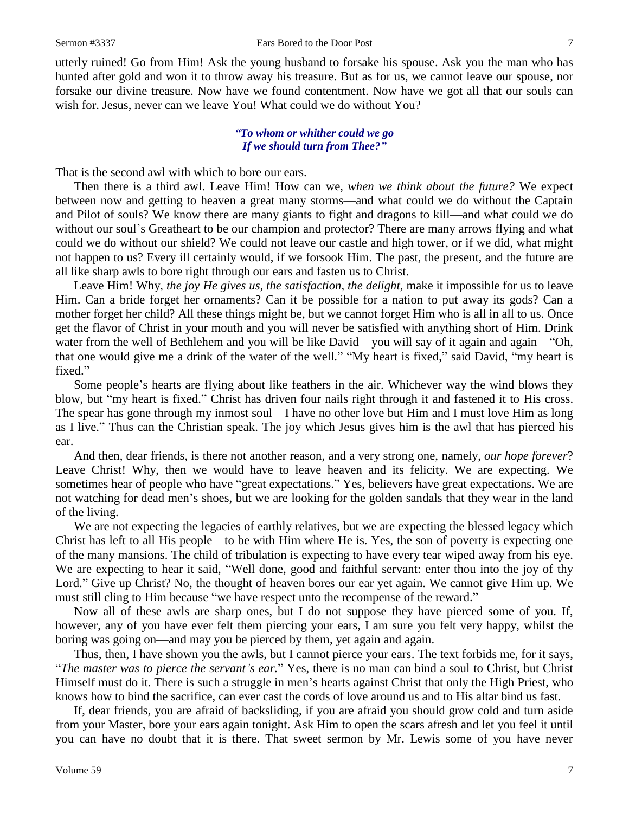utterly ruined! Go from Him! Ask the young husband to forsake his spouse. Ask you the man who has hunted after gold and won it to throw away his treasure. But as for us, we cannot leave our spouse, nor forsake our divine treasure. Now have we found contentment. Now have we got all that our souls can wish for. Jesus, never can we leave You! What could we do without You?

#### *"To whom or whither could we go If we should turn from Thee?"*

That is the second awl with which to bore our ears.

Then there is a third awl. Leave Him! How can we, *when we think about the future?* We expect between now and getting to heaven a great many storms—and what could we do without the Captain and Pilot of souls? We know there are many giants to fight and dragons to kill—and what could we do without our soul's Greatheart to be our champion and protector? There are many arrows flying and what could we do without our shield? We could not leave our castle and high tower, or if we did, what might not happen to us? Every ill certainly would, if we forsook Him. The past, the present, and the future are all like sharp awls to bore right through our ears and fasten us to Christ.

Leave Him! Why, *the joy He gives us, the satisfaction, the delight,* make it impossible for us to leave Him. Can a bride forget her ornaments? Can it be possible for a nation to put away its gods? Can a mother forget her child? All these things might be, but we cannot forget Him who is all in all to us. Once get the flavor of Christ in your mouth and you will never be satisfied with anything short of Him. Drink water from the well of Bethlehem and you will be like David—you will say of it again and again—"Oh, that one would give me a drink of the water of the well." "My heart is fixed," said David, "my heart is fixed."

Some people's hearts are flying about like feathers in the air. Whichever way the wind blows they blow, but "my heart is fixed." Christ has driven four nails right through it and fastened it to His cross. The spear has gone through my inmost soul—I have no other love but Him and I must love Him as long as I live." Thus can the Christian speak. The joy which Jesus gives him is the awl that has pierced his ear.

And then, dear friends, is there not another reason, and a very strong one, namely, *our hope forever*? Leave Christ! Why, then we would have to leave heaven and its felicity. We are expecting. We sometimes hear of people who have "great expectations." Yes, believers have great expectations. We are not watching for dead men's shoes, but we are looking for the golden sandals that they wear in the land of the living.

We are not expecting the legacies of earthly relatives, but we are expecting the blessed legacy which Christ has left to all His people—to be with Him where He is. Yes, the son of poverty is expecting one of the many mansions. The child of tribulation is expecting to have every tear wiped away from his eye. We are expecting to hear it said, "Well done, good and faithful servant: enter thou into the joy of thy Lord." Give up Christ? No, the thought of heaven bores our ear yet again. We cannot give Him up. We must still cling to Him because "we have respect unto the recompense of the reward."

Now all of these awls are sharp ones, but I do not suppose they have pierced some of you. If, however, any of you have ever felt them piercing your ears, I am sure you felt very happy, whilst the boring was going on—and may you be pierced by them, yet again and again.

Thus, then, I have shown you the awls, but I cannot pierce your ears. The text forbids me, for it says, "*The master was to pierce the servant's ear.*" Yes, there is no man can bind a soul to Christ, but Christ Himself must do it. There is such a struggle in men's hearts against Christ that only the High Priest, who knows how to bind the sacrifice, can ever cast the cords of love around us and to His altar bind us fast.

If, dear friends, you are afraid of backsliding, if you are afraid you should grow cold and turn aside from your Master, bore your ears again tonight. Ask Him to open the scars afresh and let you feel it until you can have no doubt that it is there. That sweet sermon by Mr. Lewis some of you have never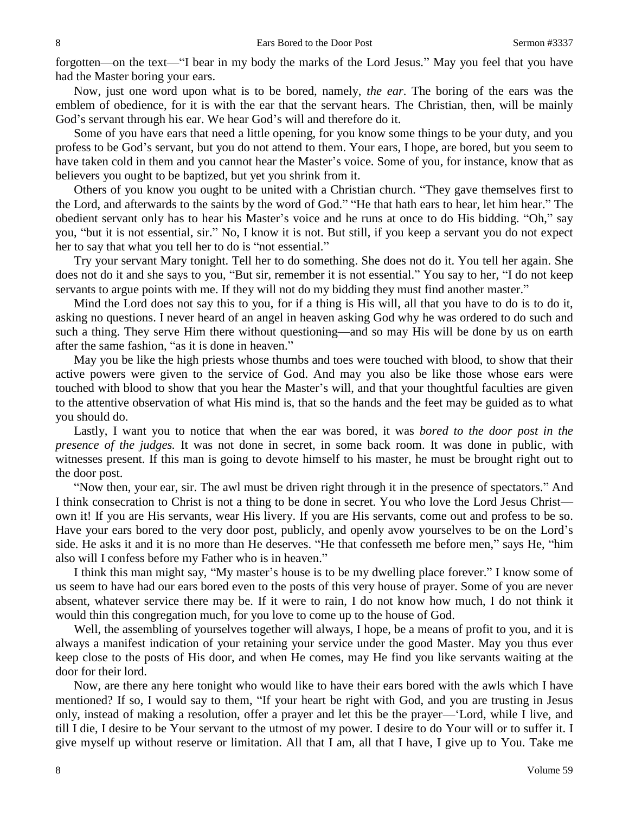forgotten—on the text—"I bear in my body the marks of the Lord Jesus." May you feel that you have had the Master boring your ears.

Now, just one word upon what is to be bored, namely, *the ear*. The boring of the ears was the emblem of obedience, for it is with the ear that the servant hears. The Christian, then, will be mainly God's servant through his ear. We hear God's will and therefore do it.

Some of you have ears that need a little opening, for you know some things to be your duty, and you profess to be God's servant, but you do not attend to them. Your ears, I hope, are bored, but you seem to have taken cold in them and you cannot hear the Master's voice. Some of you, for instance, know that as believers you ought to be baptized, but yet you shrink from it.

Others of you know you ought to be united with a Christian church. "They gave themselves first to the Lord, and afterwards to the saints by the word of God." "He that hath ears to hear, let him hear." The obedient servant only has to hear his Master's voice and he runs at once to do His bidding. "Oh," say you, "but it is not essential, sir." No, I know it is not. But still, if you keep a servant you do not expect her to say that what you tell her to do is "not essential."

Try your servant Mary tonight. Tell her to do something. She does not do it. You tell her again. She does not do it and she says to you, "But sir, remember it is not essential." You say to her, "I do not keep servants to argue points with me. If they will not do my bidding they must find another master."

Mind the Lord does not say this to you, for if a thing is His will, all that you have to do is to do it, asking no questions. I never heard of an angel in heaven asking God why he was ordered to do such and such a thing. They serve Him there without questioning—and so may His will be done by us on earth after the same fashion, "as it is done in heaven."

May you be like the high priests whose thumbs and toes were touched with blood, to show that their active powers were given to the service of God. And may you also be like those whose ears were touched with blood to show that you hear the Master's will, and that your thoughtful faculties are given to the attentive observation of what His mind is, that so the hands and the feet may be guided as to what you should do.

Lastly, I want you to notice that when the ear was bored, it was *bored to the door post in the presence of the judges.* It was not done in secret, in some back room. It was done in public, with witnesses present. If this man is going to devote himself to his master, he must be brought right out to the door post.

"Now then, your ear, sir. The awl must be driven right through it in the presence of spectators." And I think consecration to Christ is not a thing to be done in secret. You who love the Lord Jesus Christ own it! If you are His servants, wear His livery. If you are His servants, come out and profess to be so. Have your ears bored to the very door post, publicly, and openly avow yourselves to be on the Lord's side. He asks it and it is no more than He deserves. "He that confesseth me before men," says He, "him also will I confess before my Father who is in heaven."

I think this man might say, "My master's house is to be my dwelling place forever." I know some of us seem to have had our ears bored even to the posts of this very house of prayer. Some of you are never absent, whatever service there may be. If it were to rain, I do not know how much, I do not think it would thin this congregation much, for you love to come up to the house of God.

Well, the assembling of yourselves together will always, I hope, be a means of profit to you, and it is always a manifest indication of your retaining your service under the good Master. May you thus ever keep close to the posts of His door, and when He comes, may He find you like servants waiting at the door for their lord.

Now, are there any here tonight who would like to have their ears bored with the awls which I have mentioned? If so, I would say to them, "If your heart be right with God, and you are trusting in Jesus only, instead of making a resolution, offer a prayer and let this be the prayer—'Lord, while I live, and till I die, I desire to be Your servant to the utmost of my power. I desire to do Your will or to suffer it. I give myself up without reserve or limitation. All that I am, all that I have, I give up to You. Take me